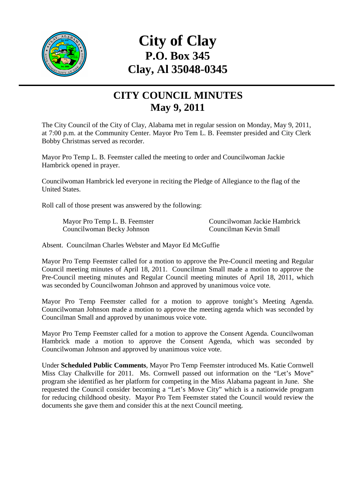

# **City of Clay P.O. Box 345 Clay, Al 35048-0345**

#### **CITY COUNCIL MINUTES May 9, 2011**

The City Council of the City of Clay, Alabama met in regular session on Monday, May 9, 2011, at 7:00 p.m. at the Community Center. Mayor Pro Tem L. B. Feemster presided and City Clerk Bobby Christmas served as recorder.

Mayor Pro Temp L. B. Feemster called the meeting to order and Councilwoman Jackie Hambrick opened in prayer.

Councilwoman Hambrick led everyone in reciting the Pledge of Allegiance to the flag of the United States.

Roll call of those present was answered by the following:

Mayor Pro Temp L. B. Feemster Councilwoman Jackie Hambrick Councilwoman Becky Johnson Councilman Kevin Small

Absent. Councilman Charles Webster and Mayor Ed McGuffie

Mayor Pro Temp Feemster called for a motion to approve the Pre-Council meeting and Regular Council meeting minutes of April 18, 2011. Councilman Small made a motion to approve the Pre-Council meeting minutes and Regular Council meeting minutes of April 18, 2011, which was seconded by Councilwoman Johnson and approved by unanimous voice vote.

Mayor Pro Temp Feemster called for a motion to approve tonight's Meeting Agenda. Councilwoman Johnson made a motion to approve the meeting agenda which was seconded by Councilman Small and approved by unanimous voice vote.

Mayor Pro Temp Feemster called for a motion to approve the Consent Agenda. Councilwoman Hambrick made a motion to approve the Consent Agenda, which was seconded by Councilwoman Johnson and approved by unanimous voice vote.

Under **Scheduled Public Comments**, Mayor Pro Temp Feemster introduced Ms. Katie Cornwell Miss Clay Chalkville for 2011. Ms. Cornwell passed out information on the "Let's Move" program she identified as her platform for competing in the Miss Alabama pageant in June. She requested the Council consider becoming a "Let's Move City" which is a nationwide program for reducing childhood obesity. Mayor Pro Tem Feemster stated the Council would review the documents she gave them and consider this at the next Council meeting.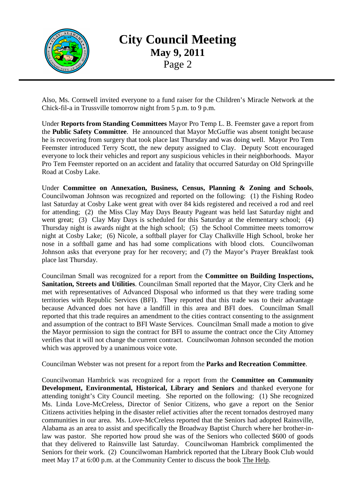

Also, Ms. Cornwell invited everyone to a fund raiser for the Children's Miracle Network at the Chick-fil-a in Trussville tomorrow night from 5 p.m. to 9 p.m.

Under **Reports from Standing Committees** Mayor Pro Temp L. B. Feemster gave a report from the **Public Safety Committee**. He announced that Mayor McGuffie was absent tonight because he is recovering from surgery that took place last Thursday and was doing well. Mayor Pro Tem Feemster introduced Terry Scott, the new deputy assigned to Clay. Deputy Scott encouraged everyone to lock their vehicles and report any suspicious vehicles in their neighborhoods. Mayor Pro Tem Feemster reported on an accident and fatality that occurred Saturday on Old Springville Road at Cosby Lake.

Under **Committee on Annexation, Business, Census, Planning & Zoning and Schools**, Councilwoman Johnson was recognized and reported on the following: (1) the Fishing Rodeo last Saturday at Cosby Lake went great with over 84 kids registered and received a rod and reel for attending; (2) the Miss Clay May Days Beauty Pageant was held last Saturday night and went great; (3) Clay May Days is scheduled for this Saturday at the elementary school; (4) Thursday night is awards night at the high school; (5) the School Committee meets tomorrow night at Cosby Lake; (6) Nicole, a softball player for Clay Chalkville High School, broke her nose in a softball game and has had some complications with blood clots. Councilwoman Johnson asks that everyone pray for her recovery; and (7) the Mayor's Prayer Breakfast took place last Thursday.

Councilman Small was recognized for a report from the **Committee on Building Inspections, Sanitation, Streets and Utilities**. Councilman Small reported that the Mayor, City Clerk and he met with representatives of Advanced Disposal who informed us that they were trading some territories with Republic Services (BFI). They reported that this trade was to their advantage because Advanced does not have a landfill in this area and BFI does. Councilman Small reported that this trade requires an amendment to the cities contract consenting to the assignment and assumption of the contract to BFI Waste Services. Councilman Small made a motion to give the Mayor permission to sign the contract for BFI to assume the contract once the City Attorney verifies that it will not change the current contract. Councilwoman Johnson seconded the motion which was approved by a unanimous voice vote.

Councilman Webster was not present for a report from the **Parks and Recreation Committee**.

Councilwoman Hambrick was recognized for a report from the **Committee on Community Development, Environmental, Historical, Library and Seniors** and thanked everyone for attending tonight's City Council meeting. She reported on the following: (1) She recognized Ms. Linda Love-McCreless, Director of Senior Citizens, who gave a report on the Senior Citizens activities helping in the disaster relief activities after the recent tornados destroyed many communities in our area. Ms. Love-McCreless reported that the Seniors had adopted Rainsville, Alabama as an area to assist and specifically the Broadway Baptist Church where her brother-inlaw was pastor. She reported how proud she was of the Seniors who collected \$600 of goods that they delivered to Rainsville last Saturday. Councilwoman Hambrick complimented the Seniors for their work. (2) Councilwoman Hambrick reported that the Library Book Club would meet May 17 at 6:00 p.m. at the Community Center to discuss the book The Help.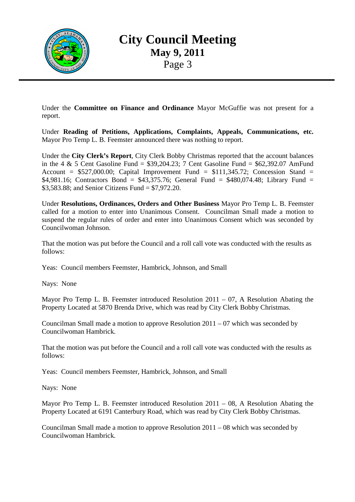

Under the **Committee on Finance and Ordinance** Mayor McGuffie was not present for a report.

Under **Reading of Petitions, Applications, Complaints, Appeals, Communications, etc.** Mayor Pro Temp L. B. Feemster announced there was nothing to report.

Under the **City Clerk's Report**, City Clerk Bobby Christmas reported that the account balances in the 4  $\&$  5 Cent Gasoline Fund = \$39,204.23; 7 Cent Gasoline Fund = \$62,392.07 AmFund Account =  $$527,000.00$ ; Capital Improvement Fund =  $$111,345.72$ ; Concession Stand = \$4,981.16; Contractors Bond = \$43,375.76; General Fund = \$480,074.48; Library Fund = \$3,583.88; and Senior Citizens Fund = \$7,972.20.

Under **Resolutions, Ordinances, Orders and Other Business** Mayor Pro Temp L. B. Feemster called for a motion to enter into Unanimous Consent. Councilman Small made a motion to suspend the regular rules of order and enter into Unanimous Consent which was seconded by Councilwoman Johnson.

That the motion was put before the Council and a roll call vote was conducted with the results as follows:

Yeas: Council members Feemster, Hambrick, Johnson, and Small

Nays: None

Mayor Pro Temp L. B. Feemster introduced Resolution 2011 – 07, A Resolution Abating the Property Located at 5870 Brenda Drive, which was read by City Clerk Bobby Christmas.

Councilman Small made a motion to approve Resolution 2011 – 07 which was seconded by Councilwoman Hambrick.

That the motion was put before the Council and a roll call vote was conducted with the results as follows:

Yeas: Council members Feemster, Hambrick, Johnson, and Small

Nays: None

Mayor Pro Temp L. B. Feemster introduced Resolution 2011 – 08, A Resolution Abating the Property Located at 6191 Canterbury Road, which was read by City Clerk Bobby Christmas.

Councilman Small made a motion to approve Resolution 2011 – 08 which was seconded by Councilwoman Hambrick.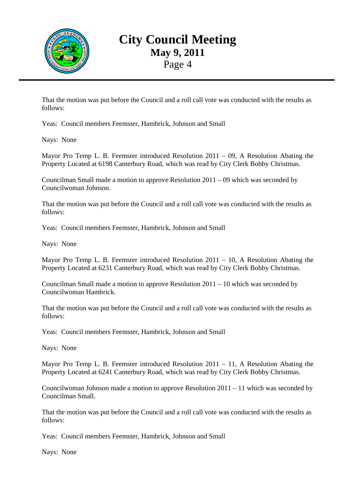

That the motion was put before the Council and a roll call vote was conducted with the results as follows:

Yeas: Council members Feemster, Hambrick, Johnson and Small

Nays: None

Mayor Pro Temp L. B. Feemster introduced Resolution 2011 – 09, A Resolution Abating the Property Located at 6198 Canterbury Road, which was read by City Clerk Bobby Christmas.

Councilman Small made a motion to approve Resolution 2011 – 09 which was seconded by Councilwoman Johnson.

That the motion was put before the Council and a roll call vote was conducted with the results as follows:

Yeas: Council members Feemster, Hambrick, Johnson and Small

Nays: None

Mayor Pro Temp L. B. Feemster introduced Resolution 2011 – 10, A Resolution Abating the Property Located at 6231 Canterbury Road, which was read by City Clerk Bobby Christmas.

Councilman Small made a motion to approve Resolution  $2011 - 10$  which was seconded by Councilwoman Hambrick.

That the motion was put before the Council and a roll call vote was conducted with the results as follows:

Yeas: Council members Feemster, Hambrick, Johnson and Small

Nays: None

Mayor Pro Temp L. B. Feemster introduced Resolution 2011 – 11, A Resolution Abating the Property Located at 6241 Canterbury Road, which was read by City Clerk Bobby Christmas.

Councilwoman Johnson made a motion to approve Resolution 2011 – 11 which was seconded by Councilman Small.

That the motion was put before the Council and a roll call vote was conducted with the results as follows:

Yeas: Council members Feemster, Hambrick, Johnson and Small

Nays: None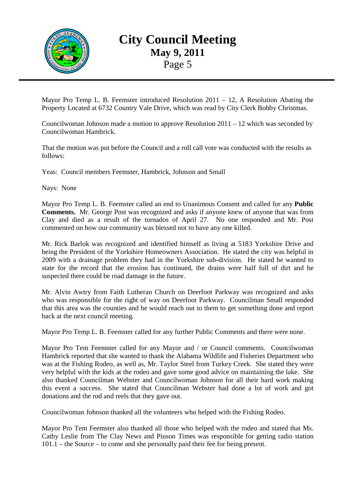

Mayor Pro Temp L. B. Feemster introduced Resolution 2011 – 12, A Resolution Abating the Property Located at 6732 Country Vale Drive, which was read by City Clerk Bobby Christmas.

Councilwoman Johnson made a motion to approve Resolution 2011 – 12 which was seconded by Councilwoman Hambrick.

That the motion was put before the Council and a roll call vote was conducted with the results as follows:

Yeas: Council members Feemster, Hambrick, Johnson and Small

Nays: None

Mayor Pro Temp L. B. Feemster called an end to Unanimous Consent and called for any **Public Comments.** Mr. George Post was recognized and asks if anyone knew of anyone that was from Clay and died as a result of the tornados of April 27. No one responded and Mr. Post commented on how our community was blessed not to have any one killed.

Mr. Rick Barlok was recognized and identified himself as living at 5183 Yorkshire Drive and being the President of the Yorkshire Homeowners Association. He stated the city was helpful in 2009 with a drainage problem they had in the Yorkshire sub-division. He stated he wanted to state for the record that the erosion has continued, the drains were half full of dirt and he suspected there could be road damage in the future.

Mr. Alvin Awtry from Faith Lutheran Church on Deerfoot Parkway was recognized and asks who was responsible for the right of way on Deerfoot Parkway. Councilman Small responded that this area was the counties and he would reach out to them to get something done and report back at the next council meeting.

Mayor Pro Temp L. B. Feemster called for any further Public Comments and there were none.

Mayor Pro Tem Feemster called for any Mayor and / or Council comments. Councilwoman Hambrick reported that she wanted to thank the Alabama Wildlife and Fisheries Department who was at the Fishing Rodeo, as well as, Mr. Taylor Steel from Turkey Creek. She stated they were very helpful with the kids at the rodeo and gave some good advice on maintaining the lake. She also thanked Councilman Webster and Councilwoman Johnson for all their hard work making this event a success. She stated that Councilman Webster had done a lot of work and got donations and the rod and reels that they gave out.

Councilwoman Johnson thanked all the volunteers who helped with the Fishing Rodeo.

Mayor Pro Tem Feemster also thanked all those who helped with the rodeo and stated that Ms. Cathy Leslie from The Clay News and Pinson Times was responsible for getting radio station 101.1 – the Source – to come and she personally paid their fee for being present.